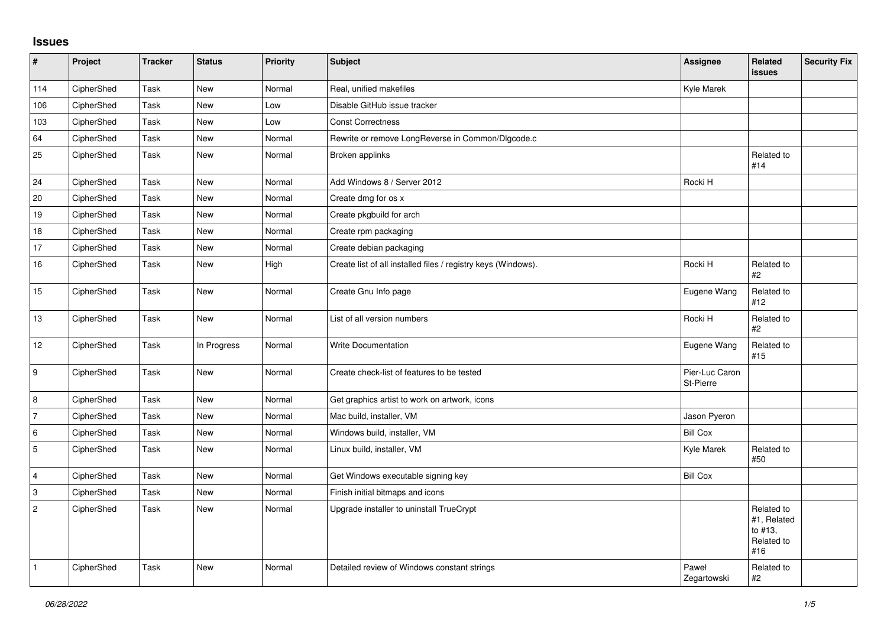## **Issues**

| $\sharp$                  | Project    | <b>Tracker</b> | <b>Status</b> | Priority | <b>Subject</b>                                                | Assignee                    | <b>Related</b><br>issues                                  | <b>Security Fix</b> |
|---------------------------|------------|----------------|---------------|----------|---------------------------------------------------------------|-----------------------------|-----------------------------------------------------------|---------------------|
| 114                       | CipherShed | Task           | <b>New</b>    | Normal   | Real, unified makefiles                                       | Kyle Marek                  |                                                           |                     |
| 106                       | CipherShed | Task           | <b>New</b>    | Low      | Disable GitHub issue tracker                                  |                             |                                                           |                     |
| 103                       | CipherShed | Task           | <b>New</b>    | Low      | <b>Const Correctness</b>                                      |                             |                                                           |                     |
| 64                        | CipherShed | Task           | <b>New</b>    | Normal   | Rewrite or remove LongReverse in Common/Dlgcode.c             |                             |                                                           |                     |
| 25                        | CipherShed | Task           | <b>New</b>    | Normal   | Broken applinks                                               |                             | Related to<br>#14                                         |                     |
| 24                        | CipherShed | Task           | <b>New</b>    | Normal   | Add Windows 8 / Server 2012                                   | Rocki H                     |                                                           |                     |
| 20                        | CipherShed | Task           | New           | Normal   | Create dmg for os x                                           |                             |                                                           |                     |
| 19                        | CipherShed | Task           | <b>New</b>    | Normal   | Create pkgbuild for arch                                      |                             |                                                           |                     |
| $18$                      | CipherShed | Task           | <b>New</b>    | Normal   | Create rpm packaging                                          |                             |                                                           |                     |
| 17                        | CipherShed | Task           | New           | Normal   | Create debian packaging                                       |                             |                                                           |                     |
| 16                        | CipherShed | Task           | <b>New</b>    | High     | Create list of all installed files / registry keys (Windows). | Rocki H                     | Related to<br>#2                                          |                     |
| 15                        | CipherShed | Task           | <b>New</b>    | Normal   | Create Gnu Info page                                          | Eugene Wang                 | Related to<br>#12                                         |                     |
| 13                        | CipherShed | Task           | New           | Normal   | List of all version numbers                                   | Rocki H                     | Related to<br>#2                                          |                     |
| 12                        | CipherShed | Task           | In Progress   | Normal   | <b>Write Documentation</b>                                    | Eugene Wang                 | Related to<br>#15                                         |                     |
| 9                         | CipherShed | Task           | <b>New</b>    | Normal   | Create check-list of features to be tested                    | Pier-Luc Caron<br>St-Pierre |                                                           |                     |
| 8                         | CipherShed | Task           | New           | Normal   | Get graphics artist to work on artwork, icons                 |                             |                                                           |                     |
| $\overline{7}$            | CipherShed | Task           | New           | Normal   | Mac build, installer, VM                                      | Jason Pyeron                |                                                           |                     |
| 6                         | CipherShed | Task           | <b>New</b>    | Normal   | Windows build, installer, VM                                  | <b>Bill Cox</b>             |                                                           |                     |
| $\sqrt{5}$                | CipherShed | Task           | <b>New</b>    | Normal   | Linux build, installer, VM                                    | Kyle Marek                  | Related to<br>#50                                         |                     |
| $\overline{4}$            | CipherShed | Task           | New           | Normal   | Get Windows executable signing key                            | <b>Bill Cox</b>             |                                                           |                     |
| $\ensuremath{\mathsf{3}}$ | CipherShed | Task           | <b>New</b>    | Normal   | Finish initial bitmaps and icons                              |                             |                                                           |                     |
| $\sqrt{2}$                | CipherShed | Task           | New           | Normal   | Upgrade installer to uninstall TrueCrypt                      |                             | Related to<br>#1, Related<br>to #13,<br>Related to<br>#16 |                     |
| $\mathbf{1}$              | CipherShed | Task           | <b>New</b>    | Normal   | Detailed review of Windows constant strings                   | Paweł<br>Zegartowski        | Related to<br>#2                                          |                     |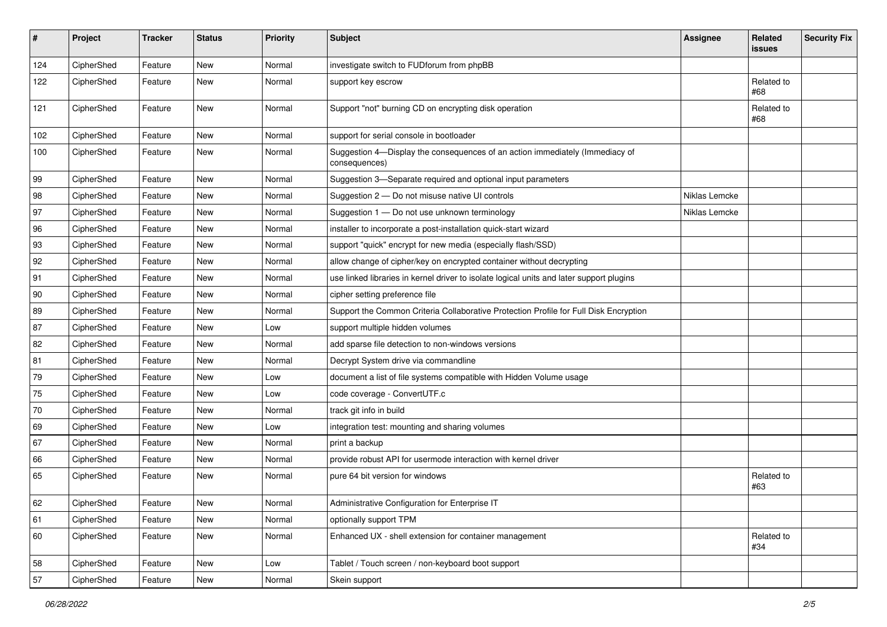| $\#$ | Project    | <b>Tracker</b> | <b>Status</b> | <b>Priority</b> | <b>Subject</b>                                                                                | <b>Assignee</b> | <b>Related</b><br><b>issues</b> | <b>Security Fix</b> |
|------|------------|----------------|---------------|-----------------|-----------------------------------------------------------------------------------------------|-----------------|---------------------------------|---------------------|
| 124  | CipherShed | Feature        | New           | Normal          | investigate switch to FUDforum from phpBB                                                     |                 |                                 |                     |
| 122  | CipherShed | Feature        | New           | Normal          | support key escrow                                                                            |                 | Related to<br>#68               |                     |
| 121  | CipherShed | Feature        | New           | Normal          | Support "not" burning CD on encrypting disk operation                                         |                 | Related to<br>#68               |                     |
| 102  | CipherShed | Feature        | New           | Normal          | support for serial console in bootloader                                                      |                 |                                 |                     |
| 100  | CipherShed | Feature        | New           | Normal          | Suggestion 4-Display the consequences of an action immediately (Immediacy of<br>consequences) |                 |                                 |                     |
| 99   | CipherShed | Feature        | New           | Normal          | Suggestion 3-Separate required and optional input parameters                                  |                 |                                 |                     |
| 98   | CipherShed | Feature        | New           | Normal          | Suggestion 2 - Do not misuse native UI controls                                               | Niklas Lemcke   |                                 |                     |
| 97   | CipherShed | Feature        | New           | Normal          | Suggestion 1 - Do not use unknown terminology                                                 | Niklas Lemcke   |                                 |                     |
| 96   | CipherShed | Feature        | New           | Normal          | installer to incorporate a post-installation quick-start wizard                               |                 |                                 |                     |
| 93   | CipherShed | Feature        | New           | Normal          | support "quick" encrypt for new media (especially flash/SSD)                                  |                 |                                 |                     |
| 92   | CipherShed | Feature        | New           | Normal          | allow change of cipher/key on encrypted container without decrypting                          |                 |                                 |                     |
| 91   | CipherShed | Feature        | New           | Normal          | use linked libraries in kernel driver to isolate logical units and later support plugins      |                 |                                 |                     |
| 90   | CipherShed | Feature        | New           | Normal          | cipher setting preference file                                                                |                 |                                 |                     |
| 89   | CipherShed | Feature        | New           | Normal          | Support the Common Criteria Collaborative Protection Profile for Full Disk Encryption         |                 |                                 |                     |
| 87   | CipherShed | Feature        | New           | Low             | support multiple hidden volumes                                                               |                 |                                 |                     |
| 82   | CipherShed | Feature        | New           | Normal          | add sparse file detection to non-windows versions                                             |                 |                                 |                     |
| 81   | CipherShed | Feature        | New           | Normal          | Decrypt System drive via commandline                                                          |                 |                                 |                     |
| 79   | CipherShed | Feature        | New           | Low             | document a list of file systems compatible with Hidden Volume usage                           |                 |                                 |                     |
| 75   | CipherShed | Feature        | New           | Low             | code coverage - ConvertUTF.c                                                                  |                 |                                 |                     |
| 70   | CipherShed | Feature        | New           | Normal          | track git info in build                                                                       |                 |                                 |                     |
| 69   | CipherShed | Feature        | New           | Low             | integration test: mounting and sharing volumes                                                |                 |                                 |                     |
| 67   | CipherShed | Feature        | New           | Normal          | print a backup                                                                                |                 |                                 |                     |
| 66   | CipherShed | Feature        | New           | Normal          | provide robust API for usermode interaction with kernel driver                                |                 |                                 |                     |
| 65   | CipherShed | Feature        | New           | Normal          | pure 64 bit version for windows                                                               |                 | Related to<br>#63               |                     |
| 62   | CipherShed | Feature        | New           | Normal          | Administrative Configuration for Enterprise IT                                                |                 |                                 |                     |
| 61   | CipherShed | Feature        | New           | Normal          | optionally support TPM                                                                        |                 |                                 |                     |
| 60   | CipherShed | Feature        | New           | Normal          | Enhanced UX - shell extension for container management                                        |                 | Related to<br>#34               |                     |
| 58   | CipherShed | Feature        | New           | Low             | Tablet / Touch screen / non-keyboard boot support                                             |                 |                                 |                     |
| 57   | CipherShed | Feature        | New           | Normal          | Skein support                                                                                 |                 |                                 |                     |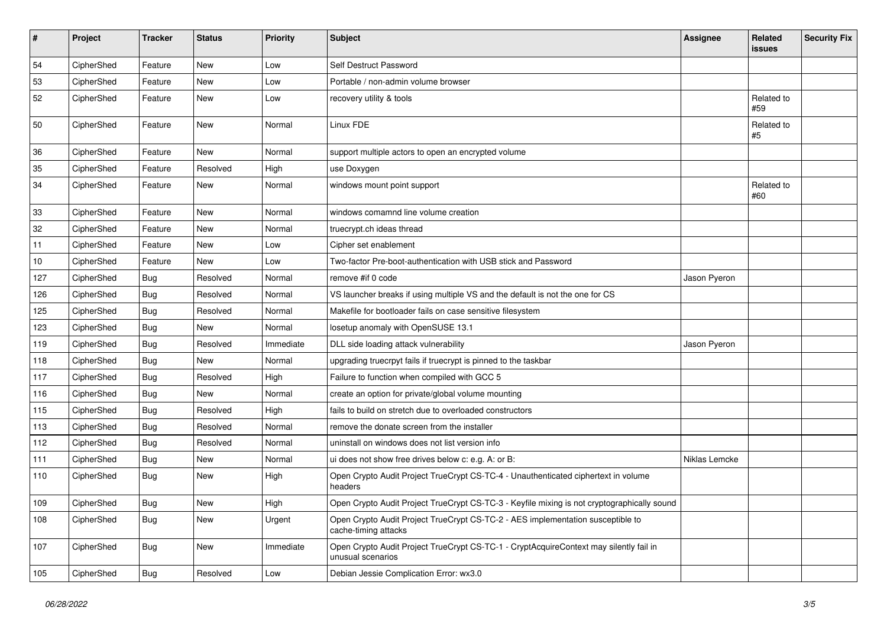| $\pmb{\#}$ | Project    | <b>Tracker</b> | <b>Status</b> | <b>Priority</b> | <b>Subject</b>                                                                                              | <b>Assignee</b> | Related<br><b>issues</b> | <b>Security Fix</b> |
|------------|------------|----------------|---------------|-----------------|-------------------------------------------------------------------------------------------------------------|-----------------|--------------------------|---------------------|
| 54         | CipherShed | Feature        | New           | Low             | Self Destruct Password                                                                                      |                 |                          |                     |
| 53         | CipherShed | Feature        | New           | Low             | Portable / non-admin volume browser                                                                         |                 |                          |                     |
| 52         | CipherShed | Feature        | New           | Low             | recovery utility & tools                                                                                    |                 | Related to<br>#59        |                     |
| 50         | CipherShed | Feature        | New           | Normal          | Linux FDE                                                                                                   |                 | Related to<br>#5         |                     |
| 36         | CipherShed | Feature        | <b>New</b>    | Normal          | support multiple actors to open an encrypted volume                                                         |                 |                          |                     |
| 35         | CipherShed | Feature        | Resolved      | High            | use Doxygen                                                                                                 |                 |                          |                     |
| 34         | CipherShed | Feature        | New           | Normal          | windows mount point support                                                                                 |                 | Related to<br>#60        |                     |
| 33         | CipherShed | Feature        | New           | Normal          | windows comamnd line volume creation                                                                        |                 |                          |                     |
| 32         | CipherShed | Feature        | <b>New</b>    | Normal          | truecrypt.ch ideas thread                                                                                   |                 |                          |                     |
| 11         | CipherShed | Feature        | New           | Low             | Cipher set enablement                                                                                       |                 |                          |                     |
| 10         | CipherShed | Feature        | New           | Low             | Two-factor Pre-boot-authentication with USB stick and Password                                              |                 |                          |                     |
| 127        | CipherShed | <b>Bug</b>     | Resolved      | Normal          | remove #if 0 code                                                                                           | Jason Pyeron    |                          |                     |
| 126        | CipherShed | <b>Bug</b>     | Resolved      | Normal          | VS launcher breaks if using multiple VS and the default is not the one for CS                               |                 |                          |                     |
| 125        | CipherShed | Bug            | Resolved      | Normal          | Makefile for bootloader fails on case sensitive filesystem                                                  |                 |                          |                     |
| 123        | CipherShed | <b>Bug</b>     | <b>New</b>    | Normal          | losetup anomaly with OpenSUSE 13.1                                                                          |                 |                          |                     |
| 119        | CipherShed | <b>Bug</b>     | Resolved      | Immediate       | DLL side loading attack vulnerability                                                                       | Jason Pyeron    |                          |                     |
| 118        | CipherShed | <b>Bug</b>     | <b>New</b>    | Normal          | upgrading truecrpyt fails if truecrypt is pinned to the taskbar                                             |                 |                          |                     |
| 117        | CipherShed | <b>Bug</b>     | Resolved      | High            | Failure to function when compiled with GCC 5                                                                |                 |                          |                     |
| 116        | CipherShed | Bug            | <b>New</b>    | Normal          | create an option for private/global volume mounting                                                         |                 |                          |                     |
| 115        | CipherShed | <b>Bug</b>     | Resolved      | High            | fails to build on stretch due to overloaded constructors                                                    |                 |                          |                     |
| 113        | CipherShed | <b>Bug</b>     | Resolved      | Normal          | remove the donate screen from the installer                                                                 |                 |                          |                     |
| 112        | CipherShed | <b>Bug</b>     | Resolved      | Normal          | uninstall on windows does not list version info                                                             |                 |                          |                     |
| 111        | CipherShed | <b>Bug</b>     | New           | Normal          | ui does not show free drives below c: e.g. A: or B:                                                         | Niklas Lemcke   |                          |                     |
| 110        | CipherShed | Bug            | New           | High            | Open Crypto Audit Project TrueCrypt CS-TC-4 - Unauthenticated ciphertext in volume<br>headers               |                 |                          |                     |
| 109        | CipherShed | Bug            | New           | High            | Open Crypto Audit Project TrueCrypt CS-TC-3 - Keyfile mixing is not cryptographically sound                 |                 |                          |                     |
| 108        | CipherShed | <b>Bug</b>     | New           | Urgent          | Open Crypto Audit Project TrueCrypt CS-TC-2 - AES implementation susceptible to<br>cache-timing attacks     |                 |                          |                     |
| 107        | CipherShed | <b>Bug</b>     | New           | Immediate       | Open Crypto Audit Project TrueCrypt CS-TC-1 - CryptAcquireContext may silently fail in<br>unusual scenarios |                 |                          |                     |
| 105        | CipherShed | Bug            | Resolved      | Low             | Debian Jessie Complication Error: wx3.0                                                                     |                 |                          |                     |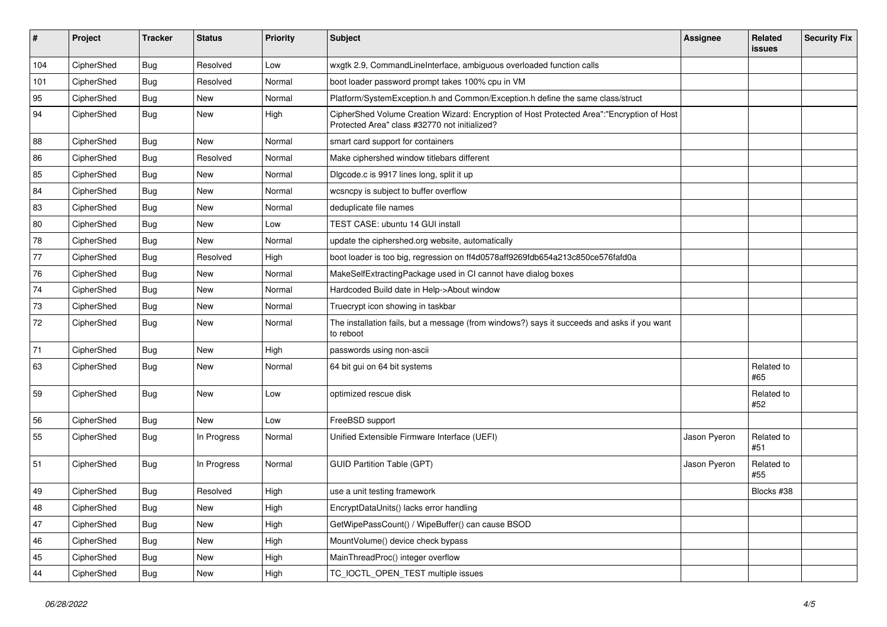| #   | Project    | <b>Tracker</b> | <b>Status</b> | <b>Priority</b> | <b>Subject</b>                                                                                                                             | <b>Assignee</b> | Related<br><b>issues</b> | <b>Security Fix</b> |
|-----|------------|----------------|---------------|-----------------|--------------------------------------------------------------------------------------------------------------------------------------------|-----------------|--------------------------|---------------------|
| 104 | CipherShed | Bug            | Resolved      | Low             | wxgtk 2.9, CommandLineInterface, ambiguous overloaded function calls                                                                       |                 |                          |                     |
| 101 | CipherShed | <b>Bug</b>     | Resolved      | Normal          | boot loader password prompt takes 100% cpu in VM                                                                                           |                 |                          |                     |
| 95  | CipherShed | <b>Bug</b>     | <b>New</b>    | Normal          | Platform/SystemException.h and Common/Exception.h define the same class/struct                                                             |                 |                          |                     |
| 94  | CipherShed | Bug            | <b>New</b>    | High            | CipherShed Volume Creation Wizard: Encryption of Host Protected Area":"Encryption of Host<br>Protected Area" class #32770 not initialized? |                 |                          |                     |
| 88  | CipherShed | <b>Bug</b>     | New           | Normal          | smart card support for containers                                                                                                          |                 |                          |                     |
| 86  | CipherShed | <b>Bug</b>     | Resolved      | Normal          | Make ciphershed window titlebars different                                                                                                 |                 |                          |                     |
| 85  | CipherShed | <b>Bug</b>     | <b>New</b>    | Normal          | Digcode.c is 9917 lines long, split it up                                                                                                  |                 |                          |                     |
| 84  | CipherShed | <b>Bug</b>     | <b>New</b>    | Normal          | wcsncpy is subject to buffer overflow                                                                                                      |                 |                          |                     |
| 83  | CipherShed | <b>Bug</b>     | <b>New</b>    | Normal          | deduplicate file names                                                                                                                     |                 |                          |                     |
| 80  | CipherShed | <b>Bug</b>     | <b>New</b>    | Low             | TEST CASE: ubuntu 14 GUI install                                                                                                           |                 |                          |                     |
| 78  | CipherShed | Bug            | <b>New</b>    | Normal          | update the ciphershed.org website, automatically                                                                                           |                 |                          |                     |
| 77  | CipherShed | <b>Bug</b>     | Resolved      | High            | boot loader is too big, regression on ff4d0578aff9269fdb654a213c850ce576fafd0a                                                             |                 |                          |                     |
| 76  | CipherShed | Bug            | <b>New</b>    | Normal          | MakeSelfExtractingPackage used in CI cannot have dialog boxes                                                                              |                 |                          |                     |
| 74  | CipherShed | <b>Bug</b>     | New           | Normal          | Hardcoded Build date in Help->About window                                                                                                 |                 |                          |                     |
| 73  | CipherShed | <b>Bug</b>     | <b>New</b>    | Normal          | Truecrypt icon showing in taskbar                                                                                                          |                 |                          |                     |
| 72  | CipherShed | Bug            | <b>New</b>    | Normal          | The installation fails, but a message (from windows?) says it succeeds and asks if you want<br>to reboot                                   |                 |                          |                     |
| 71  | CipherShed | Bug            | <b>New</b>    | High            | passwords using non-ascii                                                                                                                  |                 |                          |                     |
| 63  | CipherShed | Bug            | <b>New</b>    | Normal          | 64 bit gui on 64 bit systems                                                                                                               |                 | Related to<br>#65        |                     |
| 59  | CipherShed | Bug            | <b>New</b>    | Low             | optimized rescue disk                                                                                                                      |                 | Related to<br>#52        |                     |
| 56  | CipherShed | <b>Bug</b>     | <b>New</b>    | Low             | FreeBSD support                                                                                                                            |                 |                          |                     |
| 55  | CipherShed | Bug            | In Progress   | Normal          | Unified Extensible Firmware Interface (UEFI)                                                                                               | Jason Pyeron    | Related to<br>#51        |                     |
| 51  | CipherShed | Bug            | In Progress   | Normal          | <b>GUID Partition Table (GPT)</b>                                                                                                          | Jason Pyeron    | Related to<br>#55        |                     |
| 49  | CipherShed | Bug            | Resolved      | High            | use a unit testing framework                                                                                                               |                 | Blocks #38               |                     |
| 48  | CipherShed | <b>Bug</b>     | New           | High            | EncryptDataUnits() lacks error handling                                                                                                    |                 |                          |                     |
| 47  | CipherShed | <b>Bug</b>     | New           | High            | GetWipePassCount() / WipeBuffer() can cause BSOD                                                                                           |                 |                          |                     |
| 46  | CipherShed | Bug            | New           | High            | MountVolume() device check bypass                                                                                                          |                 |                          |                     |
| 45  | CipherShed | <b>Bug</b>     | New           | High            | MainThreadProc() integer overflow                                                                                                          |                 |                          |                     |
| 44  | CipherShed | <b>Bug</b>     | New           | High            | TC_IOCTL_OPEN_TEST multiple issues                                                                                                         |                 |                          |                     |